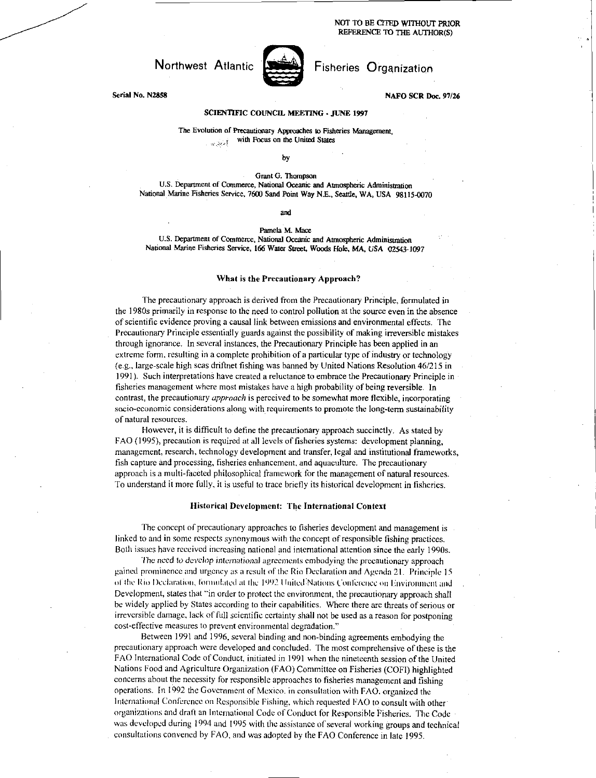NOT TO BE CITED WITHOUT PRIOR REFERENCE TO THE AUTHOR(S)



Serial No. N2858 NAFO SCR Doc. 97/26

## SCIENTIFIC COUNCIL MEETING • JUNE 1997

The Evolution of Precautionary Approaches to Fisheries Management, with Focus on the United States ولأعرب ليد

by

Grant G. Thompson

U.S. Department of Commerce, National Oceanic and Atmospheric Administration National Marine Fisheries Service, 7600 Sand Point Way N.E., Seattle, WA, USA 98115-0070

#### and

Pamela M. Mace

U.S. Department of Commerce, National Oceanic and Atmospheric Administration National Marine Fisheries Service, 166 Water Street, Woods Hole, MA, *USA* 02543-1097

#### What is the Precautionary Approach?

The precautionary approach is derived from the Precautionary Principle, formulated in the 1980s primarily in response to the need to control pollution at the source even in the absence of scientific evidence proving a causal link between emissions and environmental effects. The Precautionary Principle essentially guards against the possibility of making irreversible mistakes through ignorance. In several instances, the Precautionary Principle has been applied in an extreme form, resulting in a complete prohibition of a particular type of industry or technology (e.g., large-scale high seas driftnet fishing was banned by United Nations Resolution 46/215 in 1991). Such interpretations have created a reluctance to embrace the Precautionary Principle in fisheries management where most mistakes have a high probability of being reversible. In contrast, the precautionary *approach* is perceived to be somewhat more flexible, incorporating socio-economic considerations along with requirements to promote the long-term sustainability of natural resources.

However, it is difficult to define the precautionary approach succinctly. As stated by FAO (1995), precaution is required at all levels of fisheries systems: development planning, management, research, technology development and transfer, legal and institutional frameworks, fish capture and processing, fisheries enhancement, and aquaculture. The precautionary approach is a multi-faceted philosophical framework for the management of natural resources. To understand it more fully, it is useful to trace briefly its historical development in fisheries.

#### Historical Development: The International Context

The concept of precautionary approaches to fisheries development and management is linked to and in some respects synonymous with the concept of responsible fishing practices. Both issues have received increasing national and international attention since the early 1990s.

The need *to develop international* agreements embodying the precautionary approach gained prominence and urgency as a result of the Rio Declaration and Agenda 21. Principle 15 of the Rio Declaration, formulated at the 1992 United Nations Conference on Environment and Development, states that "in order to protect the environment, the precautionary approach shall be widely applied by States according to their capabilities. Where there are threats of serious or irreversible damage, lack of full scientific certainty shall not be used as a reason for postponing cost-effective measures to prevent environmental degradation."

Between 1991 and 1996, several binding and non-binding agreements embodying the precautionary approach were developed and concluded. The most comprehensive of these is the FAO International Code of Conduct, initiated in 1991 when the nineteenth session of the United Nations Food and Agriculture Organization (FAO) Committee on Fisheries (COFI) highlighted concerns about the necessity for responsible approaches to fisheries management and fishing operations. In 1992 the Government of Mexico. in consultation with FAO, organized the International Conference on Responsible Fishing, which requested FAO to consult with other' organizations and draft an International Code of Conduct for Responsible Fisheries. The Code was developed during 1994 and 1995 with the assistance of several working groups and technical consultations convened by FAO, and was adopted by the FAO. Conference in late 1995.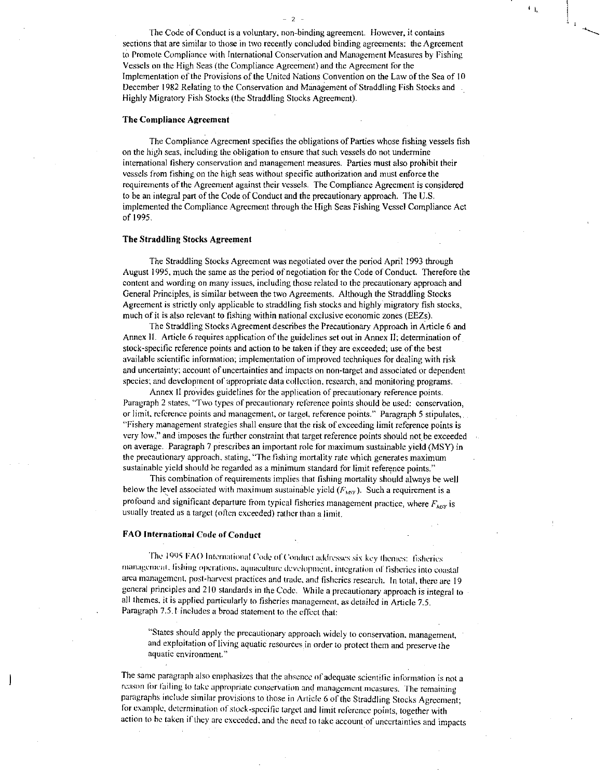The Code of Conduct is a voluntary, non-binding agreement. However, it contains sections that are similar to those in two recently concluded binding agreements: the Agreement to Promote Compliance with International Conservation and Management Measures by Fishing Vessels on the High Seas (the Compliance Agreement) and the Agreement for the Implementation of the Provisions of the United Nations Convention on the Law of the Sea of 10 December 1982 Relating to the Conservation and Management of Straddling Fish Stocks and Highly Migratory Fish Stocks (the Straddling Stocks Agreement).

## The Compliance Agreement

The Compliance Agreement specifies the obligations of Parties whose fishing vessels fish on the high seas, including the obligation to ensure that such vessels do not undermine international fishery conservation and management measures. Parties must also prohibit their vessels from fishing on the high seas without specific authorization and must enforce the requirements of the Agreement against their vessels. The Compliance Agreement is considered to be an integral part of the Code of Conduct and the precautionary approach. The U.S. implemented the Compliance Agreement through the High Seas Fishing Vessel Compliance Act of 1995.

## The Straddling Stocks Agreement

The Straddling Stocks Agreement was negotiated over the period April 1993 through August 1995, much the same as the period of negotiation for the Code of Conduct. Therefore the content and wording on many issues, including those related to the precautionary approach and General Principles, is similar between the two Agreements. Although the Straddling Stocks Agreement is strictly only applicable to straddling fish stocks and highly migratory fish stocks, much of it is also relevant to fishing within national exclusive economic zones (EEZs).

The Straddling Stocks Agreement describes the Precautionary Approach in Article 6 and Annex II. Article 6 requires application of the guidelines set out in Annex 11; determination of stock-specific reference points and action to be taken if they are exceeded; use of the best available scientific information; implementation of improved techniques for dealing with risk and uncertainty; account of uncertainties and impacts on non-target and associated or dependent species; and development of appropriate data collection, research, and monitoring programs.

Annex 11 provides guidelines for the application of precautionary reference points. Paragraph 2 states, "Two types of precautionary reference points should be used: conservation, or limit, reference points and management, or target, reference points." Paragraph 5 stipulates, "Fishery management strategies shall ensure that the risk of exceeding limit reference points is very low," and imposes the further constraint that target reference points should not be exceeded on average. Paragraph 7 prescribes an important role for maximum sustainable yield (MSY) in the precautionary approach, stating, "The fishing mortality rate which generates maximum sustainable yield should be regarded as a minimum standard for limit reference points."

This combination of requirements implies that fishing mortality should always be well below the level associated with maximum sustainable yield  $(F_{\text{MNT}})$ . Such a requirement is a profound and significant departure from typical fisheries management practice, where  $F_{\text{ANT}}$  is usually treated as a target (often exceeded) rather than a limit.

## FAO International Code of Conduct

The 1995 FAO International Code of Conduct addresses six key themes: fisheries management. fishing operations. aquaculture development. integration of fisheries into coastal area management, post-harvest practices and trade, and fisheries research. In total, there are 19 general principles and 210 standards in the Code. While a precautionary approach is integral to all themes, it is applied particularly to fisheries management, as detailed in Article 7.5. Paragraph 7.5.1 includes a broad statement to the effect that:

"States should apply the precautionary approach widely to conservation, management, • and exploitation of living aquatic resources in order to protect them and preserve the aquatic environment."

The same paragraph also emphasizes that the absence of adequate scientific information is not a reason for failing to take appropriate conservation and management measures. The remaining paragraphs include similar provisions to those in Article 6 of the Straddling Stocks Agreement; for example, determination of stock-specific target and limit reference points, together with action to he taken if they are exceeded, and the need to take account of uncertainties and impacts

 $-2$ 

 $\mathbb{C}_{\mathbf{h}_i}$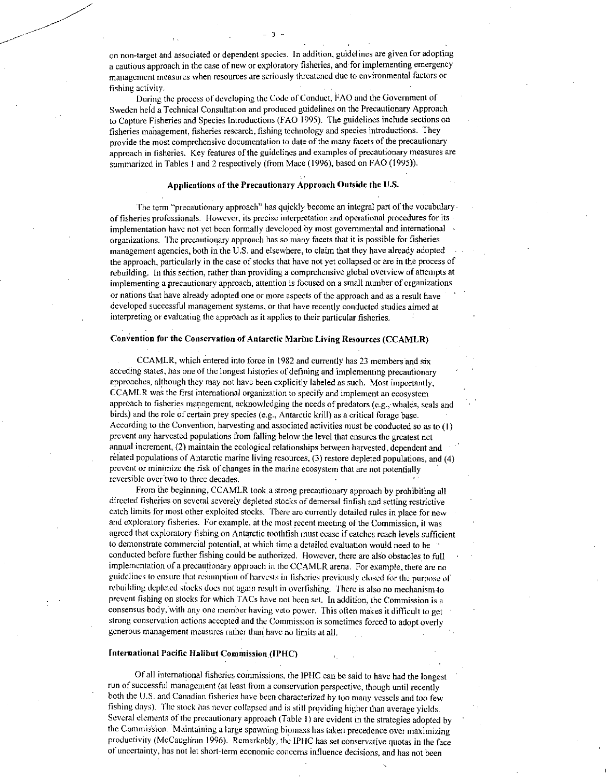on non-target and associated or dependent species. In addition, guidelines are given for adopting a cautious approach in the case of new or exploratory fisheries, and for implementing emergency management measures when resources are seriously threatened due to environmental factors or fishing activity.

 $-3 -$ 

During the process or developing the Code of Conduct, FAO and the Government of Sweden held a Technical Consultation and produced guidelines on the Precautionary Approach to Capture Fisheries and Species Introductions (FAO 1995). The guidelines include sections on fisheries management, fisheries research, fishing technology and species introductions. They provide the most comprehensive documentation to date of the many facets of the precautionary approach in fisheries. Key features of the guidelines and examples of precautionary measures are summarized in Tables 1 and 2 respectively (from Mace (1996), based on FAO (1995)).

## Applications of the Precautionary Approach Outside the U.S.

The term "precautionary approach" has quickly become an integral part of the vocabulary , of fisheries professionals. However, its precise interpretation and operational procedures for its implementation have not yet been formally developed by most governmental and international organizations. The precautionary approach has so many facets that it is possible for fisheries management agencies, both in the U.S. and elsewhere, to claim that they have already adopted the approach, particularly in the case of stocks that have not yet collapsed or are in the process of rebuilding. In this section, rather than providing a comprehensive global overview of attempts at implementing a precautionary approach, attention is focused on a small number of organizations or nations that have already adopted one or more aspects of the approach and as a result have developed successful management systems, or that have recently conducted studies aimed at interpreting or evaluating the approach as it applies to their particular fisheries.

## Convention for the Conservation of Antarctic Marine Living Resources (CCAMLR)

CCAMLR, which entered into force in 1982 and currently has 23 members and six acceding states, has one of the longest histories of defining and implementing precautionary approaches, although they may not have been explicitly labeled as such. Most importantly, CCAMLR was the first international organization to specify and implement an ecosystem approach to fisheries management, acknowledging the needs of predators (e.g., whales, seals and birds) and the role of certain prey species (e.g., Antarctic krill) as a critical forage base. According to the Convention, harvesting and associated activities must be conducted so as to (I) prevent any harvested populations from falling below the level that ensures the greatest net annual increment, (2) maintain the ecological relationships between harvested, dependent and related populations of Antarctic marine living resources, (3) restore depleted populations, and (4) prevent or minimize the risk of changes in the marine ecosystem that are not potentially reversible over two to three decades.

From the beginning, CCAMLR took.a strong precautionary approach by prohibiting all directed fisheries on several severely depleted stocks of demersal finfish and setting restrictive catch limits for most other exploited stocks. There are currently detailed rules in place for new and exploratory fisheries. For example, at the most recent meeting of the Commission, it was agreed that exploratory fishing on Antarctic toothfish must cease if catches reach levels sufficient to demonstrate commercial potential, at which time a detailed evaluation would need to be conducted before further fishing could be authorized. However, there are also obstacles to full implementation of a precautionary approach in the CCAMLR arena. For example, there are no guidelines to ensure that resumption of harvests in fisheries previously closed for the purpose of rebuilding depleted stocks does not again result in overlishing. There is also no mechanism-to prevent fishing on stocks for which TACs have not been set. In addition, the Commission is a consensus body, with any one member having veto power. This often makes it difficult to get strong conservation actions accepted and the Commission is sometimes forced to adopt overly generous management measures rather than have no limits at all.

## International Pacific Halibut Commission (IPHC)

Of all international fisheries commissions, the IPHC can be said to have had the longest run of successful management (at least from a conservation perspective, though until recently both the U.S. and Canadian fisheries have been characterized by too many vessels and too few fishing days). The stock has never collapsed and is still providing higher than average yields. Several elements of the precautionary approach (Table 1) are evident in the strategies adopted by the Commission. Maintaining a large spawning biomass has taken precedence over maximizing productivity (McCaugliran 1996). Remarkably, the IPIIC has set conservative quotas in the face of uncertainty. has not let short-term economic concerns influence decisions, and has not been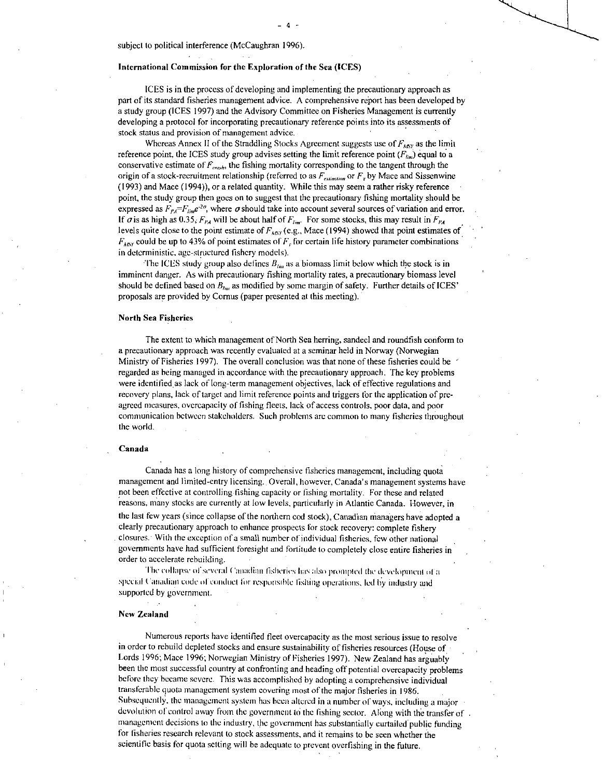subject to political interference (McCaughran 1996).

#### International Commission for the Exploration of the Sea (ICES)

ICES is in the process of developing and implementing the precautionary approach as part of its standard fisheries management advice. A comprehensive report has been developed by a study group (ICES 1997) and the Advisory Committee on Fisheries Management is currently developing a protocol for incorporating precautionary reference points into its assessments of stock status and provision of management advice.

Whereas Annex II of the Straddling Stocks Agreement suggests use of  $F_{A\beta Y}$  as the limit reference point, the ICES study group advises setting the limit reference point  $(F_{ijm})$  equal to a conservative estimate of  $F_{\text{crash}}$ , the fishing mortality corresponding to the tangent through the origin of a stock-recruitment relationship (referred to as  $F_{extinction}$  or  $F_{\tau}$  by Mace and Sissenwine (1993) and Mace (1994)), or a related quantity. While this may seem a rather risky reference • point, the study group then goes on to suggest that the precautionary fishing mortality should be expressed as  $F_{PA} = F_{lim}e^{2\sigma}$ , where  $\sigma$  should take into account several sources of variation and error. If  $\sigma$  is as high as 0.35,  $F_{r_A}$  will be about half of  $F_{\text{tan}}$ . For some stocks, this may result in  $F_{r_A}$ levels quite close to the point estimate of *F xisy* (e.g., Mace (1994) showed that point estimates of  $F_{\text{A6Y}}$  could be up to 43% of point estimates of  $F_r$  for certain life history parameter combinations in deterministic, age-structured fishery models).

The ICES study group also defines  $B_{\mu}$  as a biomass limit below which the stock is in imminent danger. As with precautionary fishing mortality rates, a precautionary biomass level should be defined based on  $B_{\mu\nu}$  as modified by some margin of safety. Further details of ICES' proposals are provided by Comus (paper presented at this meeting).

## North Sea Fisheries

The extent to which management of North Sea herring, sanded and roundfish conform to a precautionary approach was recently evaluated at a seminar held in Norway (Norwegian Ministry of Fisheries 1997). The overall conclusion was that none of these fisheries could be ' regarded as being managed in accordance with the precautionary approach. The key problems were identified as lack of long-term management objectives, lack of effective regulations and recovery plans, lack of target and limit reference points and triggers for the application of preagreed measures, overcapacity of fishing fleets, lack of access controls, poor data, and poor communication between stakeholders. Such problems arc common to many fisheries throughout the world.

#### Canada

Canada has a long history of comprehensive fisheries management, including quota management and limited-entry licensing.. Overall, however, Canada's management systems have not been effective at controlling fishing capacity or fishing mortality. For these and related reasons, many stocks are currently at low levels, particularly in Atlantic Canada. However, in the last few years (since collapse of the northern cod stock), Canadian managers have adopted a

clearly precautionary approach to enhance prospects for stock recovery: complete fishery closures: With the exception of a small number of individual fisheries, few other national governments have had sufficient foresight and fortitude to completely close entire fisheries in order to accelerate rebuilding.

The collapse of several Canadian fisheries has also prompted the development of a special Canadian code of conduct for responsible fishing operations, led by industry and supported by government.

#### New Zealand

Numerous reports have identified fleet overcapacity as the most serious issue to resolve in order to rebuild depleted stocks and ensure sustainability of fisheries resources (House of Lords 1996; Mace 1996; Norwegian Ministry of Fisheries 1997). New Zealand has arguably been the most successful country at confronting and heading off potential overcapacity problems before they became severe. This was accomplished by adopting a comprehensive individual transferable quota management system covering most of the major fisheries in 1986. Subsequently. the management system has been altered in a number of ways, including a major devolution of control away from the government to the fishing sector. Along with the transfer of . management decisions to the industry, the government has substantially curtailed public funding for fisheries research relevant to stock assessments, and it remains to be seen whether the scientific basis for quota setting will be adequate to prevent overfishing in the future.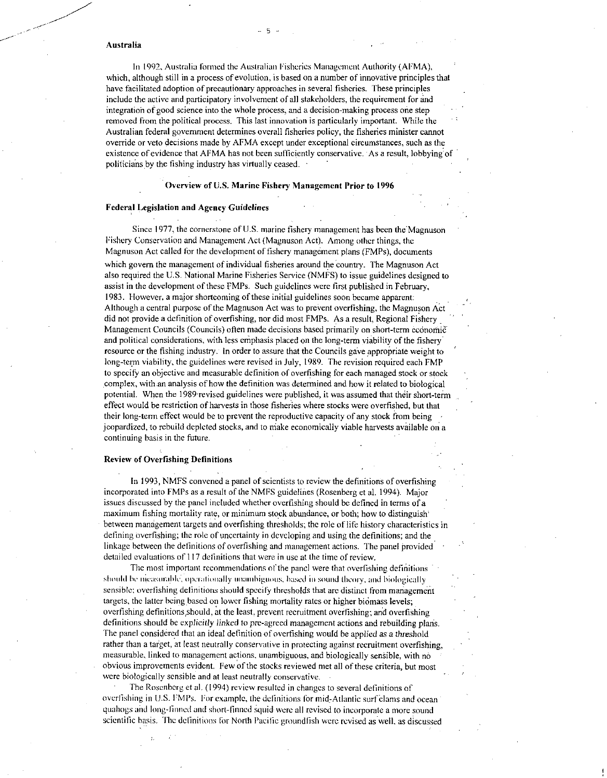#### Australia

In 1992, Australia formed the Australian Fisheries Management Authority (AMA), which, although still in a process of evolution, is based on a number of innovative principles that have facilitated adoption of precautionary approaches in several fisheries. These principles include the active and participatory involvement of all stakeholders, the requirement for and integration of good science into the whole process, and a decision-making process one step removed from the political process. This last innovation is particularly important. While the Australian federal government determines overall fisheries policy, the fisheries minister cannot override or veto decisions made by AFMA except under exceptional circumstances, such as the existence of evidence that AFMA has not been sufficiently conservative. As a result, lobbying of politicians by the fishing industry has virtually ceased. -

# Overview of U.S. Marine Fishery Management Prior to 1996

#### Federal Legislation and Agency Guidelines

Since 1977, the cornerstone of U.S. marine fishery management has been the Magnuson Fishery Conservation and Management Act (Magnuson Act). Among other things, the Magnuson Act called for the development of fishery management plans (FMPs), documents which govern the management of individual fisheries around the country. The Magnuson Act also required the U.S. National Marine Fisheries Service (NMFS) to issue guidelines designed to assist in the development of these FMPs. Such guidelines were first published in February, 1983. However, a major shortcoming of these initial guidelines soon became apparent: Although a central purpose of the Magnuson Act was to prevent overfishing, the Magnuson Act did not provide a definition of overfishing, nor did most FMPs. As a result, Regional Fishery Management Councils (Councils) often made decisions based primarily on short-term economic and political considerations, with less emphasis placed on the long-term viability of the fishery . long-term viability, the guidelines were revised in July, 1989. The revision required each FMP to specify an objective and measurable definition of overfishing for each managed stock or stock complex, with.an analysis of how the definition was determined and how it related to biological potential. When the 1989-revised guidelines were published, it was assumed that their short-term effect would be restriction of harvests in those fisheries where stocks were overfished, but that their long-term effect would be to prevent the reproductive capacity of any stock from being jeopardized, to rebuild depleted stocks, and to niake economically viable harvests available on a continuing basis in the future.

## Review of Overfishing Definitions

In 1993, NMFS convened a panel of scientists to review the definitions of overfishing incorporated into FMPs as a result of the NMFS guidelines (Rosenberg et al. 1994). Major issues discussed by the panel included whether overfishing should be defined in terms of a maximum fishing mortality rate, or minimum stock abundance, or both; how to distinguish' between management targets and overfishing thresholds; the role of life history characteristics in defining overfishing; the role of uncertainty in developing and using the definitions; and the linkage between the definitions of overfishing and management actions. The panel provided detailed evaluations of 117 definitions that were in use at the time of review.

The most important recommendations of the panel were that overfishing definitions should be nicasurable, operationally unambiguous, based in sound theory, and biologically sensible; overfishing definitions should specify thresholds that are distinct from management targets, the latter being based on lower fishing mortality rates or higher biomass levels; overfishing definitions should, at the least, prevent recruitment overfishing; and overfishing definitions should be explicitly *linked* to pre-agreed management actions and rebuilding plaris. The panel considered that an ideal definition of overfishing would be applied as a threshold rather than a target, at least neutrally conservative in protecting against recruitment overfishing, measurable, linked to management actions, unambiguous, and biologically sensible, with no obvious improvements evident. Few of the stocks reviewed met all of these criteria, but most were biologically sensible and at least neutrally conservative.

The Rosenberg et al. (1994) review resulted in changes to several definitions of overfishing in U.S. FMPs. For example, the definitions for mid-Atlantic surf clams and ocean quahogs and long-finned and short-finned squid were all revised to incorporate a more sound scientific basis. The definitions for North Pacific groundfish were revised as well, as discussed

\_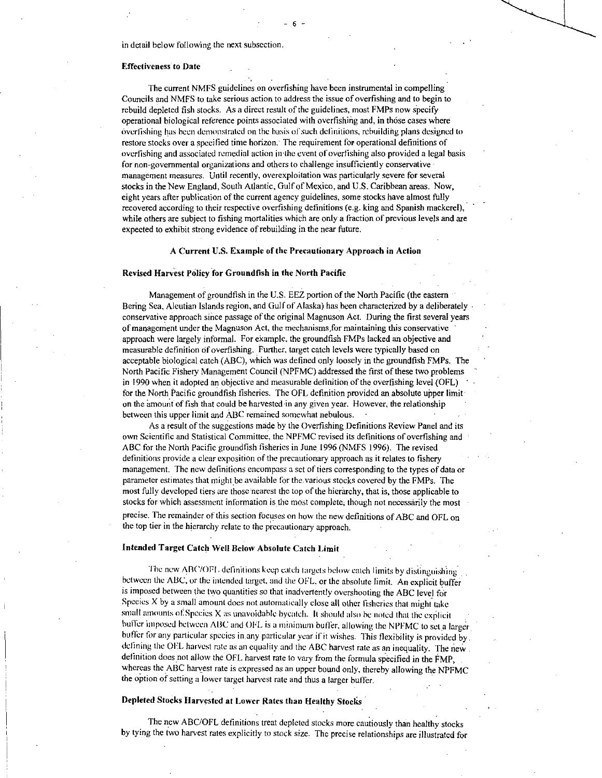in detail below following the next subsection.

## Effectiveness to Date

The current NMFS guidelines on overfishing have been instrumental in compelling Councils and NMFS to take serious action to address the issue of overfishing and to begin to rebuild depleted fish stocks. As a direct result of the guidelines, most FMPs now specify operational biological reference points associated with overfishing and, in those cases where overfishing has been demonstrated on the basis of such definitions, rebuilding plans designed to restore stocks over a specified time horizon: The requirement for operational definitions of overfishing and associated remedial action in the event of overfishing also provided a legal basis for non-governmental organizations and others to challenge insufficiently conservative management measures. Until recently, overexploitation was particularly severe for several stocks in the New England, South Atlantic, Gulf of Mexico, and U.S. Caribbean areas. Now, eight years after publication of the current agency guidelines, some stocks have almost fully recovered according to their respective overfishing definitions (e.g. king and Spanish mackerel), while others are subject to fishing mortalities which are only a fraction of previous levels and are expected to exhibit strong evidence of rebuilding in the near future.

#### A Current U.S. Example of the Precautionary Approach in Action

#### Revised Harvest Policy for Groundfish in the North Pacific

Management of groundfish in the U.S. EEZ portion of the North Pacific (the eastern • Bering Sea, Aleutian Islands region, and Gulf of Alaska) has been characterized by a deliberately • conservative approach since passage of the original Magnuson Act. During the first several years of management under the Magnuson Act, the mechanisms for maintaining this conservative ' approach were largely informal. For example. the groundfish FMPs lacked an objective and measurable definition of overfishing. Further, target catch levels were typically based on acceptable biological catch (ABC), which was defined only loosely in the groundfish FMPs. The ' North Pacific Fishery Management Council (NPFMC) addressed the first of these two problems in 1990 when it adopted an objective and measurable definition of the overfishing level (OFL) for the North Pacific groundfish fisheries. The OFL definition provided an absolute upper limit on the 'amount of fish that could be harvested in any given year. However, the relationship between this upper limit and ABC remained somewhat nebulous.

As a result of the suggestions made by the Overfishing Definitions Review Panel and its own Scientific and Statistical Committee, the NPFMC revised its definitions of overfishing and ABC for the North Pacific groundfish fisheries in June 1996 (NMFS 1996). The revised definitions provide a clear exposition of the precautionary approach as it relates to fishery management. The new definitions encompass a set of tiers corresponding to the types of data or parameter estimates that might be available for the various stocks covered by the FMPs. The most fully developed tiers are those nearest the top of the hierarchy, that is, those applicable to stocks for which assessment information is the most complete, though not necessarily the most

precise. The remainder of this section focuses on how the new definitions of ABC and OFL on the top tier in the hierarchy relate to the precautionary approach.

#### Intended Target Catch Well Below Absolute Catch Limit

The new ABC/OFL definitions keep catch targets below catch limits by distinguishing between the ABC, or the intended target, and the OFL, or the absolute limit. An explicit buffer is imposed between the two quantities so that inadvertently overshooting the ABC level for Species X by a small amount does not automatically close all other fisheries that might take small amounts of Species  $X$  as unavoidable byeatch. It should also be noted that the explicit buffer imposed between ABC and OFL is a minimum buffer, allowing the NPFMC to set a larger buffer for any particular species in.any particular year if it wishes. This flexibility is provided by. defining the DEL harvest rate as an equality and the ABC harvest rate as an inequality. The new definition does not allow the OFL harvest rate to vary from the formula specified in the FMP, whereas the ABC harvest rate is expressed as an upper bound only, thereby allowing the NPFMC the option of setting a lower target harvest rate and thus a larger buffer.

## Depleted Stocks Harvested at Lower Rates than Healthy Stocks

The new ABC/OFL definitions treat depleted stocks more cautiously than healthy stocks by tying the two harvest rates explicitly to stock size. The precise relationships are illustrated for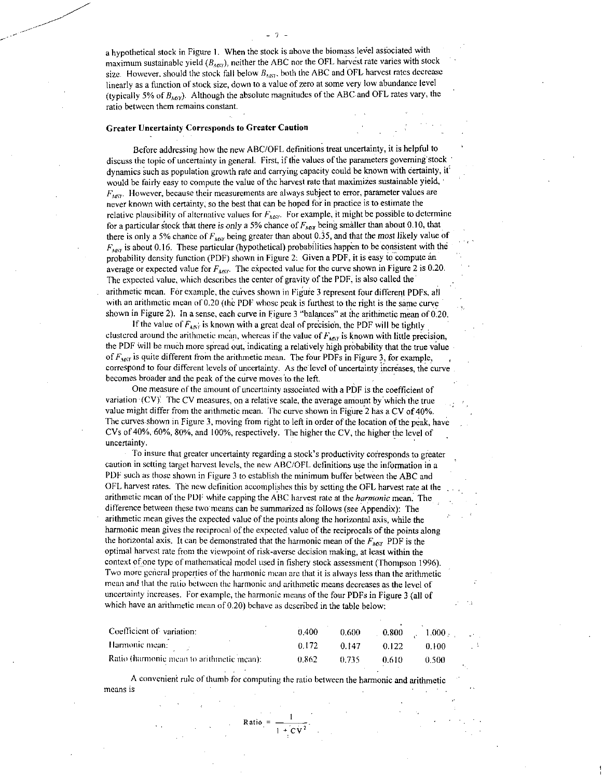a hypothetical stock in Figure I. When the stock is above the biomass level associated with maximum sustainable yield  $(B_{MSY})$ , neither the ABC nor the OFL harvest rate varies with stock size. However, should the stock fall below  $B_{\text{AST}}$ , both the ABC and OFL harvest rates decrease linearly as a function of stock size, down to a value of zero at some very low abundance level (typically 5% of  $B_{\text{AGY}}$ ). Although the absolute magnitudes of the ABC and OFL rates vary, the ratio between them remains constant.

## Greater Uncertainty Corresponds to Greater Caution

Before addressing how the new ABC/OFL definitions treat uncertainty, it is helpful to discuss the topic of uncertainty in general. First, if the values of the parameters goveming stock ' dynamics such as population growth rate and carrying capacity could be known with certainty, it would be fairly easy to compute the value of the harvest rate that maximizes sustainable yield, •  $F_{MSV}$ . However, because their measurements are always subject to error, parameter values are never known with certainty, so the best that can be hoped for in practice is to estimate the relative plausibility of alternative values for  $F_{MNP}$ . For example, it might be possible to determine for a particular stock that there *is only* a 5% chance of *['my,* being smaller than about 0.10, that there is only a 5% chance of  $F_{\text{MSY}}$  being greater than about 0.35, and that the *most likely value of*  $F_{MST}$  is about 0.16. These particular (hypothetical) probabilities happen to be consistent with the probability density function (PDF) shown in Figure 2: Given a PDF, it is easy to compute an average or expected value for  $F_{MSV}$ . The expected value for the curve shown in Figure 2 is 0.20. The expected value, which describes the center of gravity of the PDF, is also called the arithmetic mean. For example, the curves shown in Figure 3 represent four different PDFs, all with an arithmetic mean of 0.20 (the PDF whose peak is furthest to the right is the same curve shown in Figure 2). In a sense, each curve in Figure 3 "balances" at the arithinetic mean of 0.20.

If the value of  $F_{ANSY}$  is known with a great deal of precision, the PDF will be tightly clustered around the arithmetic mean, whereas if the value of  $F_{MST}$  is known with little precision, the PDF will be much more spread out, indicating a relatively high probability that the true value of  $F<sub>MN</sub>$  is quite different from the arithmetic mean. The four PDFs in Figure 3, for example, to four different levels of uncertainty. As the level of uncertainty increases, the curve becomes broader and the peak of the curve moves to the left.

One measure of the amount of uncertainty associated with a PDF is the coefficient of variation  $(CV)$ . The CV measures, on a relative scale, the average amount by which the true value might differ from the arithmetic mean. The curve shown in Figure 2 has a CV of 40%. The curves shown in Figure 3, moving from right to left in order of the location of the peak, have CVs of 40%, 60%, 80%, and 100%, respectively. The higher the CV, the higher the level of uncertainty.

To insure that greater uncertainty regarding a stock's productivity corresponds to greater caution in setting target harvest levels, the new ABC/OFL definitions use the information in a PDF such as those shown in Figure 3 to establish the minimum buffer between the ABC and OFL harvest rates. The new definition accomplishes this by setting the OFL harvest rate at the arithmetic mean of the PDF while capping the ABC harvest rate at the *harmonic* mean. The difference between these two means can he summarized as follows (see Appendix): The arithmetic mean gives the expected value of the points along the horizontal axis, while the harmonic mean gives the reciprocal of the expected value of the reciprocals of the points along the horizontal axis. It can be demonstrated that the harmonic mean of the  $F_{MST}$  PDF is the optimal harvest rate from the viewpoint of risk-averse decision making, at least within the context of one type of mathematical model used in fishery stock assessment (Thompson 1996). Two more general properties of the harmonic mean are that it is always less than the arithmetic mean and that the ratio between the harmonic and arithmetic means decreases as the level of uncertainty increases. For example, the harmonic means of the four PDFs in Figure 3 (all of which have an arithmetic mean of 0.20) behave as described in the table below:

| Coefficient of variation:                 | 0.400 | 0.600 |       | 0.800 1.000 |  |
|-------------------------------------------|-------|-------|-------|-------------|--|
| Harmonic mean: $\frac{1}{2}$              | 0.172 | 0.147 | 0.122 | 0.100       |  |
| Ratio (harmonic mean to arithmetic mean): | 0.862 | በ 735 | 0.610 | 0.500       |  |

A convenient rule of thumb for computing the ratio between the harmonic and arithmetic means is

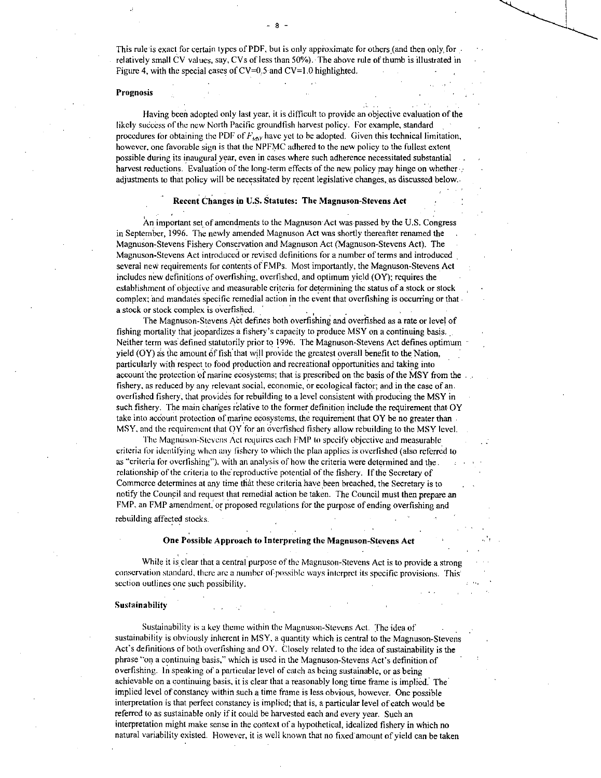- <sup>8</sup>

## Prognosis

Having been adopted only last year, it is difficult to provide an objective evaluation of the likely success of the new North Pacific groundfish harvest policy. For example, standard procedures for obtaining the PDF of  $F_{\text{asy}}$  have yet to be adopted. Given this technical limitation, however, one favorable sign is that the NPFMC adhered to the new policy to the fullest extent possible during its inaugural year, even in cases where such adherence necessitated substantial . harvest reductions. Evaluation of the long-term effects of the new policy may hinge on whether  $\cdot$ adjustments to that policy will be necessitated by recent legislative changes, as discussed below.

## **Recent Changes in U.S. Statutes: The Magnuson-Stevens Act**

An important set of amendments to the Magnuson Act was passed by the U.S. Congress in September, 1996. The newly amended Magnuson Act was shortly thereafter renamed the Magnuson-Stevens Fishery Conservation and Magnuson Act (Magnuson-Stevens Act). The Magnuson-Stevens Act introduced or revised definitions for a number of terms and introduced several new requirements for contents of FMPs. Most importantly, the Magnuson-Stevens Act includes new definitions of overfishing, overfished, and optimum yield (OY); requires the establishment of objective and measurable criteria for determining the status of a stock or stock complex; and mandates specific remedial action in the event that overfishing is occurring or that a stock or stock complex is overfished.

The Magnuson-Stevens Act defines both overfishing and overfished as a rate or level of fishing mortality that jeopardizes a fishery's capacity to produce MSY on a continuing basis... Neither term was defined statutorily prior to **1996.** The Magnuson-Stevens Act defines optimum yield (OY) as the amount of fish that will provide the greatest overall benefit to the Nation, particularly with respect to food production and recreational opportunities and taking into account the protection of marine ecosystems; that is prescribed on the basis of the MSY from the fishery, as reduced by any relevant social, economic, or ecological factor; and in the case of an. overfished fishery, that provides for rebuilding to a level consistent with producing the MSY in such fishery. The main changes relative to the former definition include the requirement that OY take into account protection of marine ecosystems, the requirement that OY be no greater than MSY, and the requirement that OY for an overfished fishery allow rebuilding to the MSY level.

The Magnuson-Stevens Act requires each FMP to specify objective and measurable criteria for identifying when any fishery to Which the plan applies is overfished (also referred to as "criteria for overfishing"), with an analysis of how the criteria were determined and the relationship of the criteria to the reproductive potential of the fishery. If the Secretary of Commerce determines at any time that these criteria have been breached, the Secretary is to notify the Council and request that remedial action be taken. The Council must then prepare an FMP, an FMP amendment, or proposed regulations for the purpose of ending overfishing and rebuilding affected stocks.

#### **One Possible Approach to Interpreting the Magnuson-Stevens Act**

While it is clear that a central purpose of the Magnuson-Stevens Act is to provide a strong conservation standard, there are a number of possible ways interpret its specific provisions. This section outlines one such possibility.

#### **Sustainahility**

Sustainability is a key theme within the Magnuson-Stevens Act. The idea of sustainability is obviously inherent in MSY, a quantity which is central to the Magnuson-Stevens Act's definitions of both overfishing and OY. Closely related to the idea of sustainability is the phrase "on a continuing basis," which is used in the Magnuson-Stevens Act's definition of overfishing. In speaking of a particular level of catch as being sustainable, or as being achievable on a continuing basis, it is clear that a reasonably long time frame is implied. The implied level of constancy within such a time frame is less obvious, however. One possible interpretation is that perfect constancy is implied; that is, a particular level of catch would be referred to as sustainable only if it could be harvested each and every year. Such an interpretation might make sense in the context of a hypothetical, idealized fishery in which no natural variability existed. However, it is well known that no fixed amount of yield can be taken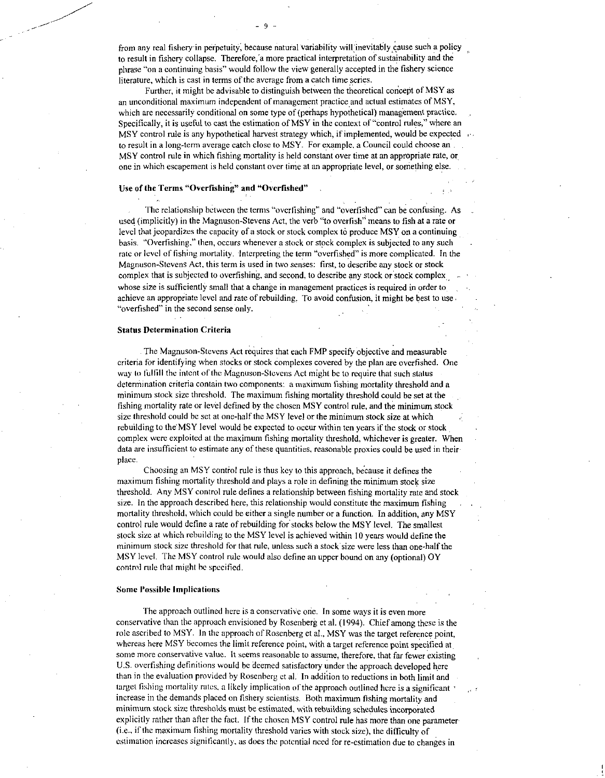Further, it might be advisable to distinguish between the theoretical concept of MSY as an unconditional maximum independent of management practice and actual estimates of MSY, which are necessarily conditional on some type of (perhaps hypothetical) management practice. Specifically, it is useful to cast the estimation of MSY in the context of "control rules," where an MSY control rule is any hypothetical harvest strategy which, if implemented, would be expected to result in a long-term average catch close to MSY. For example, a Council could choose an MSY control rule in which fishing mortality is held constant over time at an appropriate rate, or one in which escapement is held constant over time at an appropriate level, or something else.

# Use of the Terms "Overfishing" and "Overfished"

The relationship between the terms "overfishing" and "overfished" can be confusing. As used (implicitly) in the Magnuson-Stevens Act, the verb "to overfish" means to fish at a rate or level that jeopardizes the capacity of a stock or stock complex to produce MSY on a continuing basis. "Overfishing." then, occurs whenever a stock or stock complex is subjected to any such . rate or level of fishing mortality. Interpreting the term "overfished" is more complicated. In the Magnuson-Stevens Act, this term is used in two senses: first, to describe any stock or stock complex that is subjected to overfishing, and second, to describe any stock or stock complex whose size is sufficiently small that a change in management practices is required in order to achieve an appropriate level and rate of rebuilding. To avoid confusion, it might be best to use "overfished" in the second sense only.

#### Status Determination Criteria

The Magnuson-Stevens Act requires that each FMP specify objective and measurable criteria for identifying when stocks or stock complexes covered by the plan are overfished. One way to fulfill the intent of the Magnuson-Stevens Act might he to require that such status determination criteria contain two components: a maximum fishing mortality threshold and a minimum stock size threshold. The maximum fishing mortality threshold could be set at the fishing mortality rate or level defined by the chosen MSY control rule, and the minimum stock size threshold could he set at one-half the MSY level or the minimum stock size at which rebuilding to the MSY level would be expected to occur within ten years if the stock or stock complex were exploited at the maximum fishing mortality threshold, whichever is greater. When data are insufficient to estimate any of these quantities, reasonable proxies could be used in their place.

Choosing an MSY control rule is thus key to this approach, because it defines the maximum fishing mortality threshold and plays a role in defining the minimum stock size threshold. Any MSY control rule defines a relationship between fishing mortality rate and stock size. In the approach described here, this relationship would constitute the maximum fishing mortality threshold, which could be either a single number or a function. In addition, any MSY control rule would define a rate of rebuilding for stocks below the MSY level. The smallest stock size at which rebuilding to the MSY level is achieved within 10 years would define the minimum stock size threshold for that rule, unless such a stock size were less than one-half the MSY level. The MSY control rule would also define an upper bound on any (optional) OY control rule that might he specified.

## Some Possible Implications

The approach outlined here is a conservative one. In some ways it is even more conservative than the approach envisioned by Rosenberg et al. (1994). Chief among these is the role ascribed to MSY. In the approach of Rosenberg et al., MSY was the target reference point, whereas here MSY becomes the limit reference point, with a target reference point specified at some more conservative value. It seems reasonable to assume, therefore, that far fewer existing U.S. overfishing definitions would be deemed satisfactory under the approach developed here than in the evaluation provided by Rosenberg et al. In addition to reductions in both limit and target fishing mortality rates, a likely implication of the approach outlined here is a significant increase in the demands placed on fishery scientists. Both maximum fishing mortality and minimum stock size thresholds must be estimated, with rebuilding schedules incorporated explicitly rather than after the fact. If the chosen MSY control rule has more than one parameter (i.e., if the maximum fishing mortality threshold varies with stock size), the difficulty of estimation increases significantly, as does the potential need for re-estimation due to changes in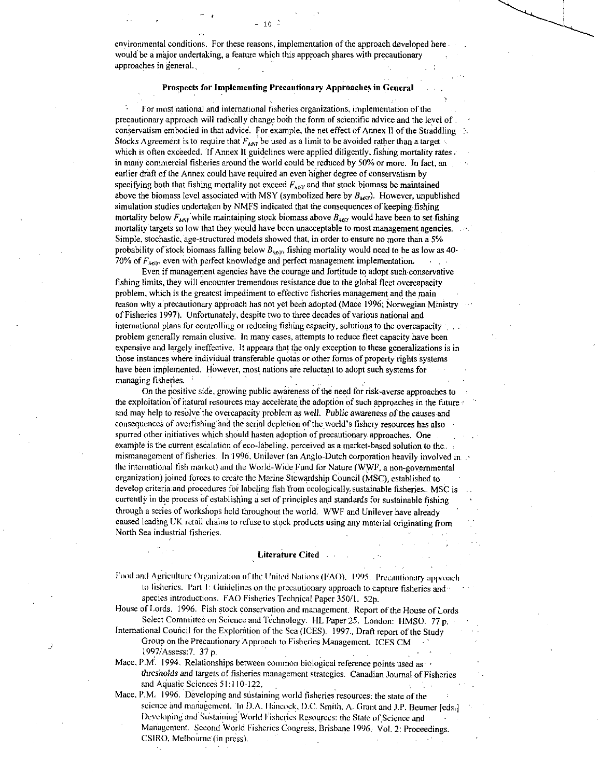environmental conditions. For these reasons, implementation of the approach developed here would be a major undertaking, a feature which this approach shares with precautionary approaches in general.,

 $-10$   $-$ 

## **Prospects for Implementing Precautionary Approaches in General**

• For most national and international fisheries organizations, implementation of the precautionary.approach will radically change both the fonn.of scientific advice and the level of . conservatism embodied in that advice. For example, the net effect of Annex II of the Straddling Stocks Agreement is to require that  $F_{\text{univ}}$  be used as a limit to be avoided rather than a target which is often exceeded. If Annex II guidelines were applied diligently, fishing mortality rates; in many commercial fisheries around the world could be reduced by 50% or more. In fact, an earlier draft of the Annex could have required an even higher degree of conservatism by specifying both that fishing mortality not exceed  $F_{\text{AGY}}$  and that stock biomass be maintained above the biomass level associated with MSY (symbolized here by  $B_{M\text{c}}$ ). However, unpublished simulation studies undertaken by NMFS indicated that the consequences of keeping fishing mortality below  $F_{\text{MSV}}$  while maintaining stock biomass above  $B_{\text{MSV}}$  would have been to set fishing mortality targets so low that they would have been unacceptable to most management agencies. Simple, stochastic, 'age-structured models showed that, in order to ensure no more than a 5% probability of stock biomass falling below  $B_{M,Y}$ , fishing mortality would need to be as low as 40-70% of  $F_{MVP}$ , even with perfect knowledge and perfect management implementation.

Even if management agencies have the courage and fortitude to adopt such-conservative fishing limits, they will encounter tremendous resistance due to the global fleet overcapacity problem, which is the greatest impediment to effective fisheries management and the main reason why a precautionary approach has not yet been adopted (Mace 1996; Norwegian Ministry of Fisheries 1997). Unfortunately, despite two to three decades of various national and international plans for controlling or reducing fishing capacity, solutions to the overcapacity  $\cdot$ , . problem generally remain elusive. In many cases, attempts to reduce fleet capacity have been expensive and largely ineffective. It appears that the only exception to these generalizations is in those instances where individual transferable quotas or other forms of property rights systems have been implemented. However, most nations are reluctant to adopt such systems for managing fisheries.

On the positive side, growing public awareness of the need for risk-averse approaches to the exploitation of natural resources may accelerate the adoption of such approaches in the future • and may help to resolve the overcapacity problem as *well. Public awareness* of the causes and consequences of overfishing and the serial depletion of the world's fishery resources has also spurred other initiatives which should hasten adoption of precautionary approaches. One example is the current escalation of eco-labeling, perceived as a market-based solution to the... mismanagement of fisheries. In **1996,** Unilever (an Anglo-Dutch corporation heavily involved in .• the international fish market) and the World-Wide Fund for Nature (WWF, a non-governmental organization) joined forces to create the Marine Stewardship Council (MSC), established to • develop criteria and procedures for labeling fish from ecologically, sustainable fisheries.. MSC is currently in the process of establishing a set of principles and standards for sustainable fishing through a series of workshops held throughout the world. WWF and Unilever have already caused leading UK retail chains to refuse to stock products using any material originating from North Sea industrial fisheries.

#### **Literature Cited**

Food and Agriculture Organization of the United Nations (FAO). 1995. Precautionary approach to fisheries. Part I: Guidelines on the precautionary approach to capture fisheries and species introductions. FAO Fisheries Technical Paper 350/1. 52p.

House of Lords. 1996. Fish stock conservation and management. Report of the House of Lords Select Committee on Science and Technology. HL Paper 25. London: HMSO. 77 p.

International Council for the Exploration of the Sea (ICES). 1997., Draft report of the Study Group on the Precautionary Approach to Fisheries Management. ICES CM

1997/Assess:7. 37 p.  $\frac{1997}{\text{Mace}}$ , P.M. 1994. Relationships between common biological reference points used as  $\cdot$ *thresholds and* targets of fisheries management strategies. Canadian Journal of Fisheries and Aquatic Sciences 51:110-122.

Mace, P.M. 1996. Developing and sustaining world fisheries resources; the state of the science and management. In D.A. Hancock, D.C. Smith, A. Grant and J.P. Beumer [eds.] Developing and Sustaining World Fisheries Resources: the State of Science and Management. Second World Fisheries Congress, Brisbane 1996. Vol. 2: Proceedings. CSIRO, Melbourne (in press).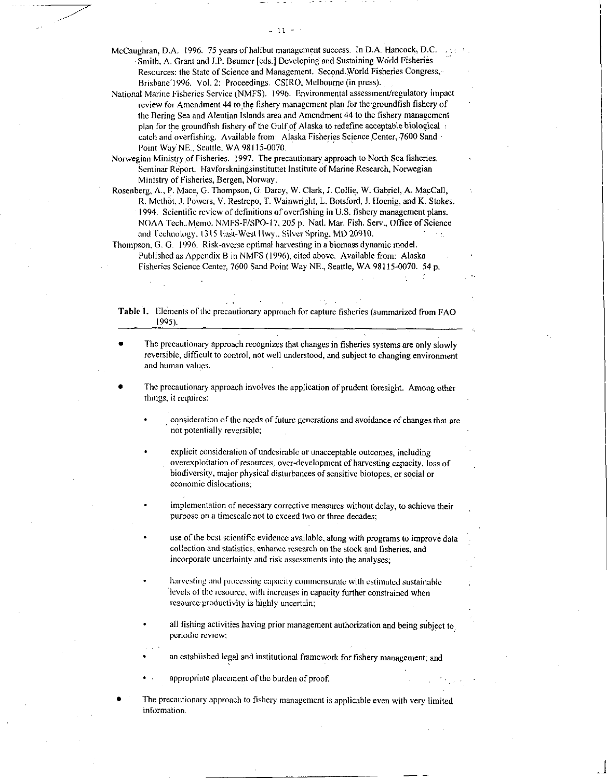McCaughran, D.A. 1996. 75 years of halibut management success. In D.A. Hancock, D.C. Smith, A. Grant and J.P. Beumer [eds.] Developing and Sustaining World Fisheries Resources: the State of Science and Management. Second.World Fisheries Congress, Brisbane '1996. Vol. 2: Proceedings. CSIRO, Melbourne (in press).

 $-11 -$ 

National Marine Fisheries Service (NMFS). 1996. Environmental assessment/regulatory impact review for Amendment 44 to the fishery management plan for thegroundfish fishery of the Bering Sea and Aleutian Islands area and Amendment 44 to the fishery management plan for the groundfish fishery of the Gulf of Alaska to redefine acceptable biological catch and overfishing. Available from: Alaska Fisheries Science Center, 7600 Sand Point Way'NE., Seattle, WA 98115-0070.

Norwegian Ministry of Fisheries. 1997. The precautionary approach to North Sea fisheries. Seminar-Report. Havforskningsinstituttet Institute of Marine Research, Norwegian Ministry of Fisheries, Bergen, Norway.

Rosenberg, A., P. Mace, G. Thompson, G. Darcy, W. Clark, J. Collie, W. Gabriel, A. MacCall, R. Methot, J. Powers, V. Restrepo, T. Wainwright, L. Botsford, J. Hoenig, and K. Stokes. 1994. Scientific review of definitions of overfishing in U.S. fishery management plans. NOAA Tech..Memo. NMFS-F/SPO-17, 205 p. Natl. Mar. Fish. Serv., Office of Science and Technology, 1315 Fast-West Hwy., Silver Spring, MD 20910.

Thompson, G. G. 1996. Risk-averse optimal harvesting in a biomass dynamic model. Published as Appendix B in NMFS (1996), cited above. Available from: Alaska Fisheries Science Center, 7600 Sand Point Way NE., Seattle, WA 98115-0070. *54* p.

Table I. Elements of the precautionary approach for capture fisheries (summarized from FAO 1995).

The precautionary approach recognizes that changes in fisheries systems are only slowly reversible, difficult to control, not well understood, and subject to changing environment and human values.

The precautionary approach involves the application of prudent foresight. Among other things, it requires:

consideration of the needs of future generations and avoidance of changes that are not potentially reversible;

explicit consideration of undesirable or unacceptable outcomes, including overexploitation of resources, over-development of harvesting capacity, loss of biodiversity, major physical disturbances of sensitive biotopes, or social or economic dislocations;

implementation of necessary corrective measures without delay, to achieve their purpose on a timescale not to exceed two or three decades;

use of the best scientific evidence available, along with programs to improve data collection and statistics, enhance research on the stock and fisheries, and incorporate uncertainty and risk assessments into the analyses;

harvesting and processing capacity commensurate with estimated sustainable levels of the resource, with increases in capacity further constrained when resource productivity is highly uncertain;

all fishing activities having prior management authorization and being subject to periodic review;

an established legal and institutional framework for fishery management; and

appropriate placement of the burden of proof.

The precautionary approach to fishery management is applicable even with very limited information.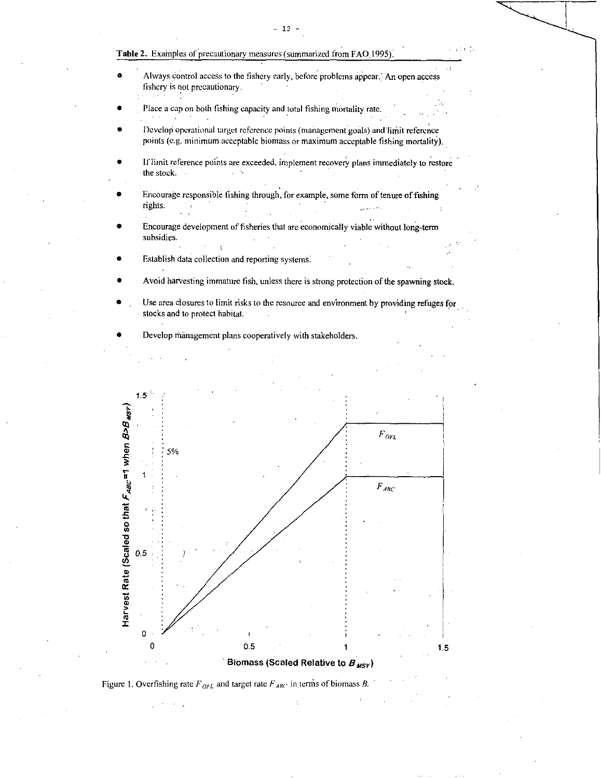# Table 2. Examples of precautionary measures (summarized from FAQ 1995).

- Always control access to the fishery early, before problems appear. An open access fishery is not precautionary.
- Place a cap on both fishing capacity and total fishing mortality rate.
- Develop operational target reference points (managernentgoals) and limit reference points (e.g. minimum acceptable biomass or maximum acceptable fishing mortality).
- If limit reference points are exceeded, implement recovery plans immediately to restore the stock.
- Encourage responsible fishing through, for example, some form of tenure of fishing rights. وأفعاما للمواسل
- Encourage development of fisheries that are economically viable without long-term subsidies.
- Establish data collection and reporting systems.
- Avoid harvesting immature fish, unless there is strong protection of the spawning stock.
- Use area closures to limit risks to the resource and environment by providing refuges for stocks and to protect habitat.







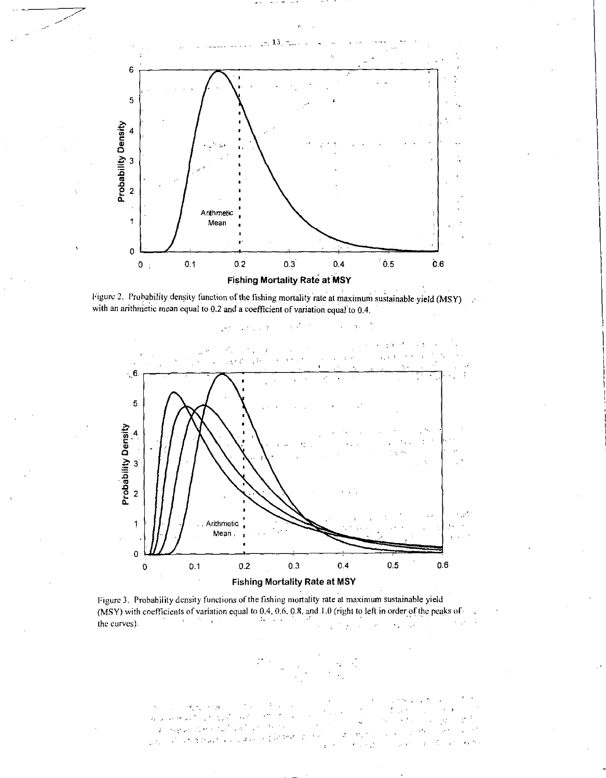





Figure 3. Probability density functions of the fishing mortality rate at maximum sustainable yield (MSY) with coefficients of variation equal to 0.4, 0.6, 0.8, and.I .0 (right to left in order of the peaks of 医精神病 医骨折  $\Delta\alpha$  , where  $\alpha$ the curves).  $\lambda \sim 10^4$